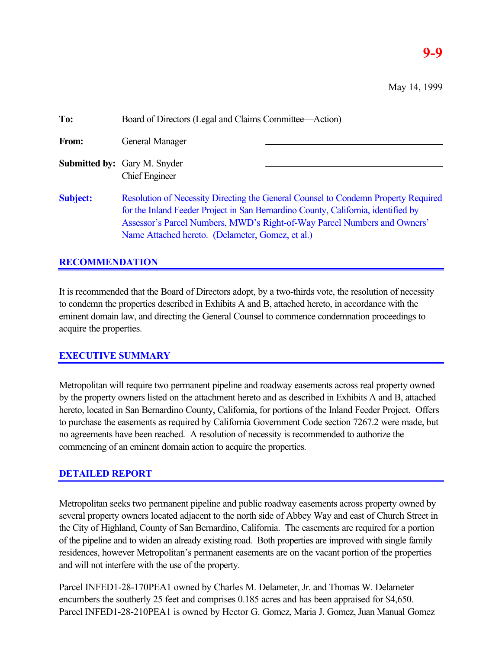# **9-9**

May 14, 1999

| To:             | Board of Directors (Legal and Claims Committee—Action)                                                                                                                                                                                                                                                  |  |
|-----------------|---------------------------------------------------------------------------------------------------------------------------------------------------------------------------------------------------------------------------------------------------------------------------------------------------------|--|
| From:           | General Manager                                                                                                                                                                                                                                                                                         |  |
|                 | <b>Submitted by:</b> Gary M. Snyder<br><b>Chief Engineer</b>                                                                                                                                                                                                                                            |  |
| <b>Subject:</b> | Resolution of Necessity Directing the General Counsel to Condemn Property Required<br>for the Inland Feeder Project in San Bernardino County, California, identified by<br>Assessor's Parcel Numbers, MWD's Right-of-Way Parcel Numbers and Owners'<br>Name Attached hereto. (Delameter, Gomez, et al.) |  |

### **RECOMMENDATION**

It is recommended that the Board of Directors adopt, by a two-thirds vote, the resolution of necessity to condemn the properties described in Exhibits A and B, attached hereto, in accordance with the eminent domain law, and directing the General Counsel to commence condemnation proceedings to acquire the properties.

#### **EXECUTIVE SUMMARY**

Metropolitan will require two permanent pipeline and roadway easements across real property owned by the property owners listed on the attachment hereto and as described in Exhibits A and B, attached hereto, located in San Bernardino County, California, for portions of the Inland Feeder Project. Offers to purchase the easements as required by California Government Code section 7267.2 were made, but no agreements have been reached. A resolution of necessity is recommended to authorize the commencing of an eminent domain action to acquire the properties.

#### **DETAILED REPORT**

Metropolitan seeks two permanent pipeline and public roadway easements across property owned by several property owners located adjacent to the north side of Abbey Way and east of Church Street in the City of Highland, County of San Bernardino, California. The easements are required for a portion of the pipeline and to widen an already existing road. Both properties are improved with single family residences, however Metropolitan's permanent easements are on the vacant portion of the properties and will not interfere with the use of the property.

Parcel INFED1-28-170PEA1 owned by Charles M. Delameter, Jr. and Thomas W. Delameter encumbers the southerly 25 feet and comprises 0.185 acres and has been appraised for \$4,650. Parcel INFED1-28-210PEA1 is owned by Hector G. Gomez, Maria J. Gomez, Juan Manual Gomez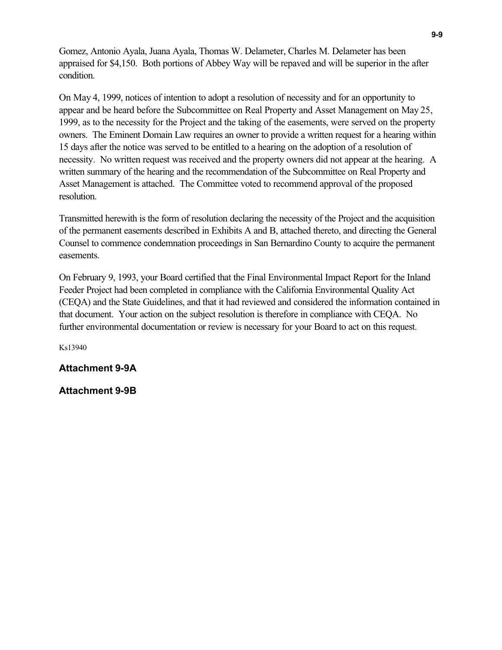Gomez, Antonio Ayala, Juana Ayala, Thomas W. Delameter, Charles M. Delameter has been appraised for \$4,150. Both portions of Abbey Way will be repaved and will be superior in the after condition.

On May 4, 1999, notices of intention to adopt a resolution of necessity and for an opportunity to appear and be heard before the Subcommittee on Real Property and Asset Management on May 25, 1999, as to the necessity for the Project and the taking of the easements, were served on the property owners. The Eminent Domain Law requires an owner to provide a written request for a hearing within 15 days after the notice was served to be entitled to a hearing on the adoption of a resolution of necessity. No written request was received and the property owners did not appear at the hearing. A written summary of the hearing and the recommendation of the Subcommittee on Real Property and Asset Management is attached. The Committee voted to recommend approval of the proposed resolution.

Transmitted herewith is the form of resolution declaring the necessity of the Project and the acquisition of the permanent easements described in Exhibits A and B, attached thereto, and directing the General Counsel to commence condemnation proceedings in San Bernardino County to acquire the permanent easements.

On February 9, 1993, your Board certified that the Final Environmental Impact Report for the Inland Feeder Project had been completed in compliance with the California Environmental Quality Act (CEQA) and the State Guidelines, and that it had reviewed and considered the information contained in that document. Your action on the subject resolution is therefore in compliance with CEQA. No further environmental documentation or review is necessary for your Board to act on this request.

Ks13940

**Attachment 9-9A**

**Attachment 9-9B**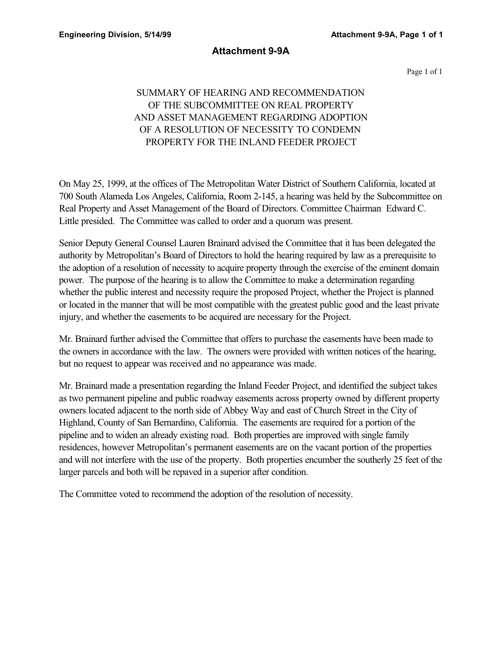#### **Attachment 9-9A**

Page 1 of 1

## SUMMARY OF HEARING AND RECOMMENDATION OF THE SUBCOMMITTEE ON REAL PROPERTY AND ASSET MANAGEMENT REGARDING ADOPTION OF A RESOLUTION OF NECESSITY TO CONDEMN PROPERTY FOR THE INLAND FEEDER PROJECT

On May 25, 1999, at the offices of The Metropolitan Water District of Southern California, located at 700 South Alameda Los Angeles, California, Room 2-145, a hearing was held by the Subcommittee on Real Property and Asset Management of the Board of Directors. Committee Chairman Edward C. Little presided. The Committee was called to order and a quorum was present.

Senior Deputy General Counsel Lauren Brainard advised the Committee that it has been delegated the authority by Metropolitan's Board of Directors to hold the hearing required by law as a prerequisite to the adoption of a resolution of necessity to acquire property through the exercise of the eminent domain power. The purpose of the hearing is to allow the Committee to make a determination regarding whether the public interest and necessity require the proposed Project, whether the Project is planned or located in the manner that will be most compatible with the greatest public good and the least private injury, and whether the easements to be acquired are necessary for the Project.

Mr. Brainard further advised the Committee that offers to purchase the easements have been made to the owners in accordance with the law. The owners were provided with written notices of the hearing, but no request to appear was received and no appearance was made.

Mr. Brainard made a presentation regarding the Inland Feeder Project, and identified the subject takes as two permanent pipeline and public roadway easements across property owned by different property owners located adjacent to the north side of Abbey Way and east of Church Street in the City of Highland, County of San Bernardino, California. The easements are required for a portion of the pipeline and to widen an already existing road. Both properties are improved with single family residences, however Metropolitan's permanent easements are on the vacant portion of the properties and will not interfere with the use of the property. Both properties encumber the southerly 25 feet of the larger parcels and both will be repaved in a superior after condition.

The Committee voted to recommend the adoption of the resolution of necessity.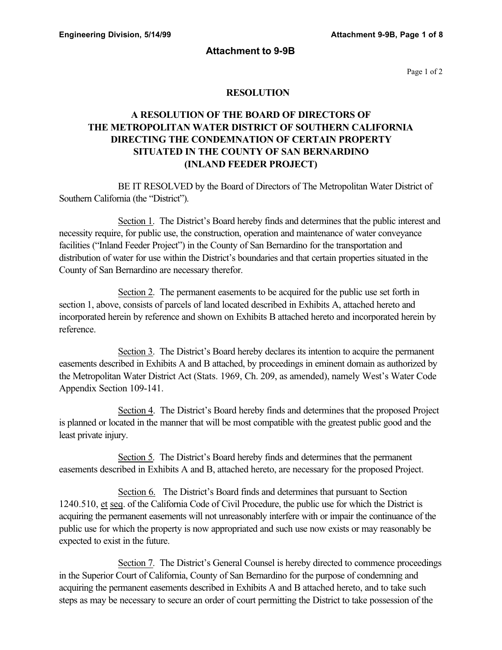#### **Attachment to 9-9B**

Page 1 of 2

#### **RESOLUTION**

## **A RESOLUTION OF THE BOARD OF DIRECTORS OF THE METROPOLITAN WATER DISTRICT OF SOUTHERN CALIFORNIA DIRECTING THE CONDEMNATION OF CERTAIN PROPERTY SITUATED IN THE COUNTY OF SAN BERNARDINO (INLAND FEEDER PROJECT)**

BE IT RESOLVED by the Board of Directors of The Metropolitan Water District of Southern California (the "District").

Section 1. The District's Board hereby finds and determines that the public interest and necessity require, for public use, the construction, operation and maintenance of water conveyance facilities ("Inland Feeder Project") in the County of San Bernardino for the transportation and distribution of water for use within the District's boundaries and that certain properties situated in the County of San Bernardino are necessary therefor.

Section 2. The permanent easements to be acquired for the public use set forth in section 1, above, consists of parcels of land located described in Exhibits A, attached hereto and incorporated herein by reference and shown on Exhibits B attached hereto and incorporated herein by reference.

Section 3. The District's Board hereby declares its intention to acquire the permanent easements described in Exhibits A and B attached, by proceedings in eminent domain as authorized by the Metropolitan Water District Act (Stats. 1969, Ch. 209, as amended), namely West's Water Code Appendix Section 109-141.

Section 4. The District's Board hereby finds and determines that the proposed Project is planned or located in the manner that will be most compatible with the greatest public good and the least private injury.

Section 5. The District's Board hereby finds and determines that the permanent easements described in Exhibits A and B, attached hereto, are necessary for the proposed Project.

Section 6. The District's Board finds and determines that pursuant to Section 1240.510, et seq. of the California Code of Civil Procedure, the public use for which the District is acquiring the permanent easements will not unreasonably interfere with or impair the continuance of the public use for which the property is now appropriated and such use now exists or may reasonably be expected to exist in the future.

Section 7. The District's General Counsel is hereby directed to commence proceedings in the Superior Court of California, County of San Bernardino for the purpose of condemning and acquiring the permanent easements described in Exhibits A and B attached hereto, and to take such steps as may be necessary to secure an order of court permitting the District to take possession of the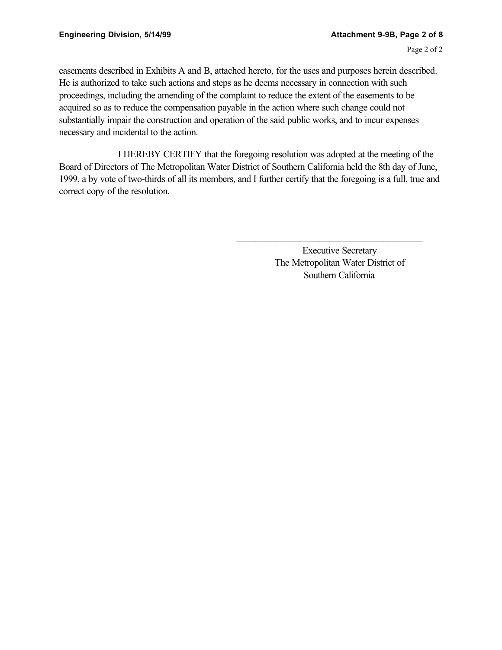easements described in Exhibits A and B, attached hereto, for the uses and purposes herein described. He is authorized to take such actions and steps as he deems necessary in connection with such proceedings, including the amending of the complaint to reduce the extent of the easements to be acquired so as to reduce the compensation payable in the action where such change could not substantially impair the construction and operation of the said public works, and to incur expenses necessary and incidental to the action.

I HEREBY CERTIFY that the foregoing resolution was adopted at the meeting of the Board of Directors of The Metropolitan Water District of Southern California held the 8th day of June, 1999, a by vote of two-thirds of all its members, and I further certify that the foregoing is a full, true and correct copy of the resolution.

> Executive Secretary The Metropolitan Water District of Southern California

\_\_\_\_\_\_\_\_\_\_\_\_\_\_\_\_\_\_\_\_\_\_\_\_\_\_\_\_\_\_\_\_\_\_\_\_\_\_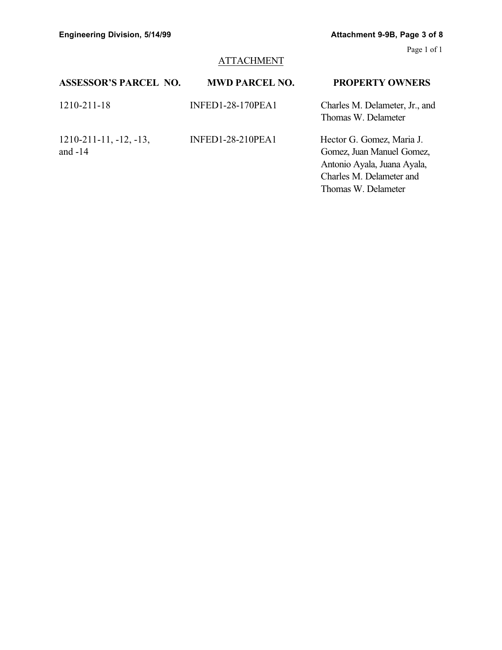# **ATTACHMENT**

| <b>ASSESSOR'S PARCEL NO.</b>              | <b>MWD PARCEL NO.</b>    | <b>PROPERTY OWNERS</b>                                                                                                                   |
|-------------------------------------------|--------------------------|------------------------------------------------------------------------------------------------------------------------------------------|
| 1210-211-18                               | <b>INFED1-28-170PEA1</b> | Charles M. Delameter, Jr., and<br>Thomas W. Delameter                                                                                    |
| $1210 - 211 - 11, -12, -13,$<br>and $-14$ | <b>INFED1-28-210PEA1</b> | Hector G. Gomez, Maria J.<br>Gomez, Juan Manuel Gomez,<br>Antonio Ayala, Juana Ayala,<br>Charles M. Delameter and<br>Thomas W. Delameter |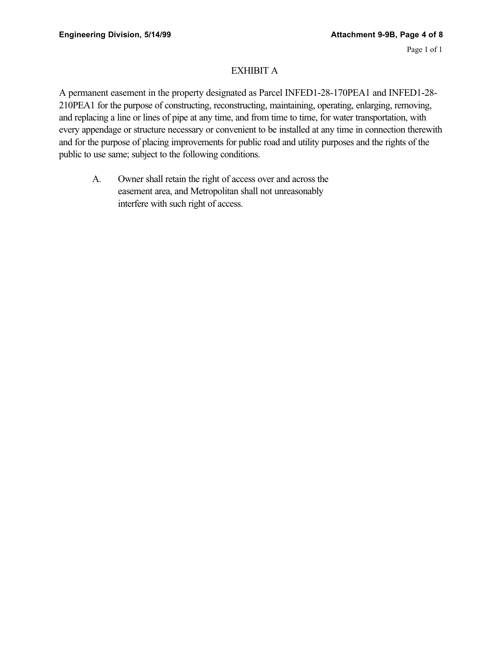#### EXHIBIT A

A permanent easement in the property designated as Parcel INFED1-28-170PEA1 and INFED1-28- 210PEA1 for the purpose of constructing, reconstructing, maintaining, operating, enlarging, removing, and replacing a line or lines of pipe at any time, and from time to time, for water transportation, with every appendage or structure necessary or convenient to be installed at any time in connection therewith and for the purpose of placing improvements for public road and utility purposes and the rights of the public to use same; subject to the following conditions.

A. Owner shall retain the right of access over and across the easement area, and Metropolitan shall not unreasonably interfere with such right of access.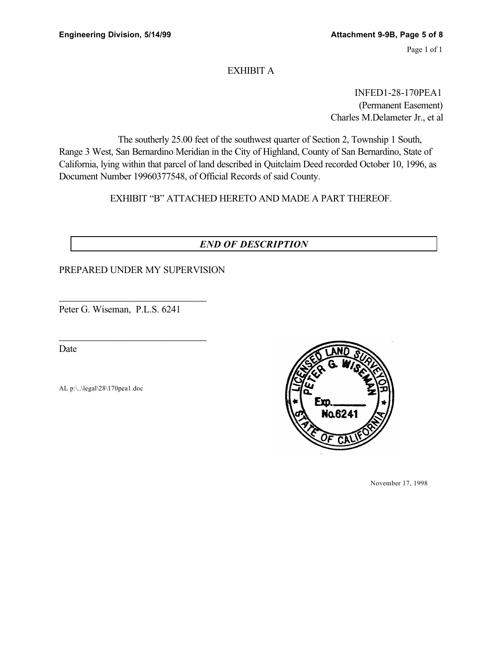#### EXHIBIT A

INFED1-28-170PEA1 (Permanent Easement) Charles M.Delameter Jr., et al

The southerly 25.00 feet of the southwest quarter of Section 2, Township 1 South, Range 3 West, San Bernardino Meridian in the City of Highland, County of San Bernardino, State of California, lying within that parcel of land described in Quitclaim Deed recorded October 10, 1996, as Document Number 19960377548, of Official Records of said County.

EXHIBIT "B" ATTACHED HERETO AND MADE A PART THEREOF.

## *END OF DESCRIPTION*

#### PREPARED UNDER MY SUPERVISION

Peter G. Wiseman, P.L.S. 6241

\_\_\_\_\_\_\_\_\_\_\_\_\_\_\_\_\_\_\_\_\_\_\_\_\_\_\_\_\_\_

\_\_\_\_\_\_\_\_\_\_\_\_\_\_\_\_\_\_\_\_\_\_\_\_\_\_\_\_\_\_

Date

AL p:\..\legal\28\170pea1.doc



November 17, 1998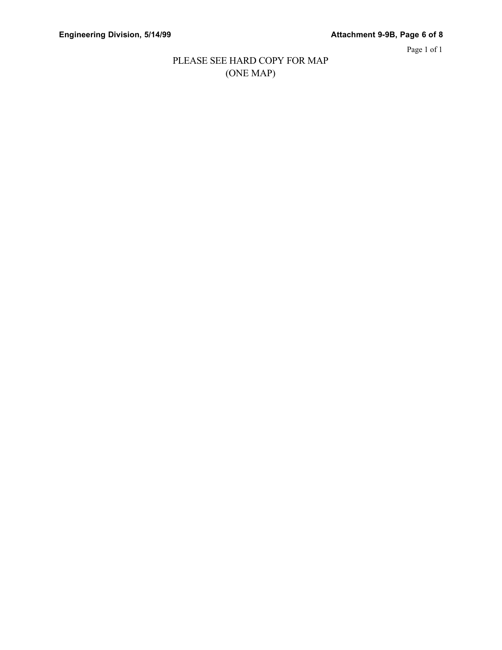Page 1 of 1

## PLEASE SEE HARD COPY FOR MAP (ONE MAP)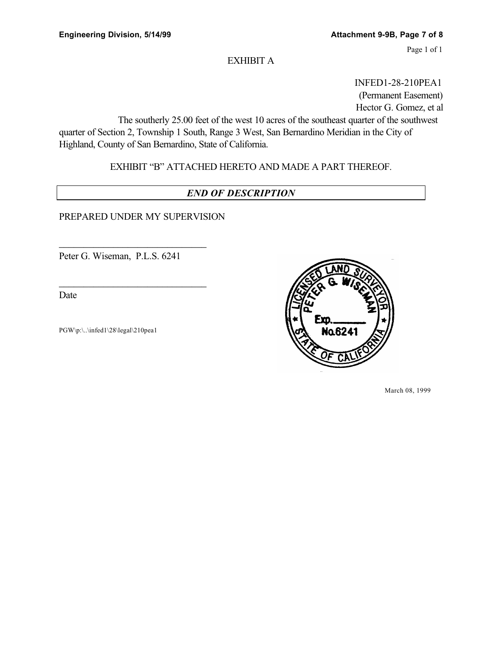#### EXHIBIT A

INFED1-28-210PEA1 (Permanent Easement) Hector G. Gomez, et al

The southerly 25.00 feet of the west 10 acres of the southeast quarter of the southwest quarter of Section 2, Township 1 South, Range 3 West, San Bernardino Meridian in the City of Highland, County of San Bernardino, State of California.

EXHIBIT "B" ATTACHED HERETO AND MADE A PART THEREOF.

### *END OF DESCRIPTION*

PREPARED UNDER MY SUPERVISION

Peter G. Wiseman, P.L.S. 6241

\_\_\_\_\_\_\_\_\_\_\_\_\_\_\_\_\_\_\_\_\_\_\_\_\_\_\_\_\_\_

\_\_\_\_\_\_\_\_\_\_\_\_\_\_\_\_\_\_\_\_\_\_\_\_\_\_\_\_\_\_

Date

PGW\p:\..\infed1\28\legal\210pea1



March 08, 1999